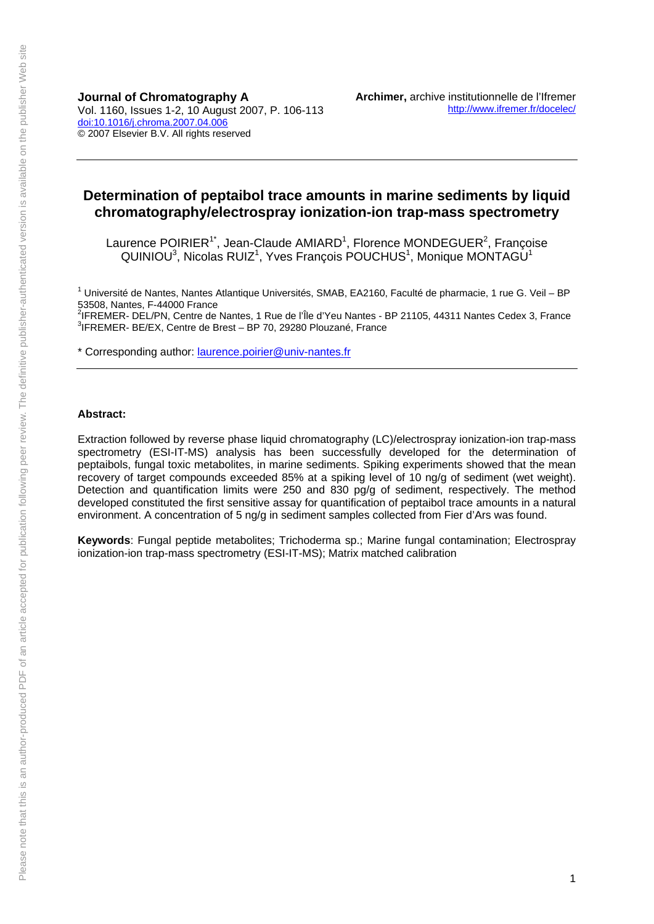**Journal of Chromatography A**  Vol. 1160, Issues 1-2, 10 August 2007, P. 106-113 doi:10.1016/j.chroma.2007.04.006 © 2007 Elsevier B.V. All rights reserved

#### **Determination of peptaibol trace amounts in marine sediments by liquid chromatography/electrospray ionization-ion trap-mass spectrometry**

Laurence POIRIER<sup>1\*</sup>, Jean-Claude AMIARD<sup>1</sup>, Florence MONDEGUER<sup>2</sup>, Françoise  $Q$ UINIOU<sup>3</sup>, Nicolas RUIZ<sup>1</sup>, Yves François POUCHUS<sup>1</sup>, Monique MONTAGU<sup>1</sup>

<sup>1</sup> Université de Nantes, Nantes Atlantique Universités, SMAB, EA2160, Faculté de pharmacie, 1 rue G. Veil – BP 53508, Nantes, F-44000 France

<sup>2</sup>IFREMER- DEL/PN, Centre de Nantes, 1 Rue de l'Île d'Yeu Nantes - BP 21105, 44311 Nantes Cedex 3, France<br><sup>3</sup>IEREMER - BE/EX, Centre de Prest - BR 70, 20280 Pleuzené, France <sup>3</sup>IFREMER- BE/EX, Centre de Brest - BP 70, 29280 Plouzané, France

\* Corresponding author: laurence.poirier@univ-nantes.fr

#### **Abstract:**

Extraction followed by reverse phase liquid chromatography (LC)/electrospray ionization-ion trap-mass spectrometry (ESI-IT-MS) analysis has been successfully developed for the determination of peptaibols, fungal toxic metabolites, in marine sediments. Spiking experiments showed that the mean recovery of target compounds exceeded 85% at a spiking level of 10 ng/g of sediment (wet weight). Detection and quantification limits were 250 and 830 pg/g of sediment, respectively. The method developed constituted the first sensitive assay for quantification of peptaibol trace amounts in a natural environment. A concentration of 5 ng/g in sediment samples collected from Fier d'Ars was found.

**Keywords**: Fungal peptide metabolites; Trichoderma sp.; Marine fungal contamination; Electrospray ionization-ion trap-mass spectrometry (ESI-IT-MS); Matrix matched calibration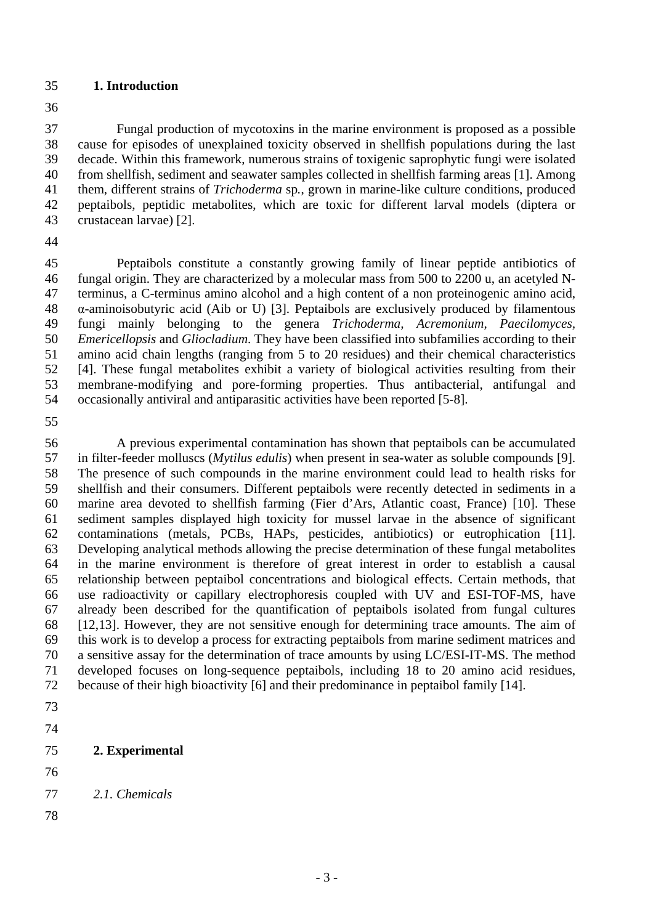#### 35 **1. Introduction**

36

37 Fungal production of mycotoxins in the marine environment is proposed as a possible 38 cause for episodes of unexplained toxicity observed in shellfish populations during the last 39 decade. Within this framework, numerous strains of toxigenic saprophytic fungi were isolated 40 from shellfish, sediment and seawater samples collected in shellfish farming areas [1]. Among 41 them, different strains of *Trichoderma* sp*.*, grown in marine-like culture conditions, produced 42 peptaibols, peptidic metabolites, which are toxic for different larval models (diptera or 43 crustacean larvae) [2].

44

45 Peptaibols constitute a constantly growing family of linear peptide antibiotics of 46 fungal origin. They are characterized by a molecular mass from 500 to 2200 u, an acetyled N-47 terminus, a C-terminus amino alcohol and a high content of a non proteinogenic amino acid, 48 α-aminoisobutyric acid (Aib or U) [3]. Peptaibols are exclusively produced by filamentous 49 fungi mainly belonging to the genera *Trichoderma, Acremonium, Paecilomyces,*  50 *Emericellopsis* and *Gliocladium*. They have been classified into subfamilies according to their 51 amino acid chain lengths (ranging from 5 to 20 residues) and their chemical characteristics 52 [4]. These fungal metabolites exhibit a variety of biological activities resulting from their 53 membrane-modifying and pore-forming properties. Thus antibacterial, antifungal and 54 occasionally antiviral and antiparasitic activities have been reported [5-8].

55

56 A previous experimental contamination has shown that peptaibols can be accumulated 57 in filter-feeder molluscs (*Mytilus edulis*) when present in sea-water as soluble compounds [9]. 58 The presence of such compounds in the marine environment could lead to health risks for 59 shellfish and their consumers. Different peptaibols were recently detected in sediments in a 60 marine area devoted to shellfish farming (Fier d'Ars, Atlantic coast, France) [10]. These 61 sediment samples displayed high toxicity for mussel larvae in the absence of significant 62 contaminations (metals, PCBs, HAPs, pesticides, antibiotics) or eutrophication [11]. 63 Developing analytical methods allowing the precise determination of these fungal metabolites 64 in the marine environment is therefore of great interest in order to establish a causal 65 relationship between peptaibol concentrations and biological effects. Certain methods, that 66 use radioactivity or capillary electrophoresis coupled with UV and ESI-TOF-MS, have 67 already been described for the quantification of peptaibols isolated from fungal cultures 68 [12,13]. However, they are not sensitive enough for determining trace amounts. The aim of 69 this work is to develop a process for extracting peptaibols from marine sediment matrices and 70 a sensitive assay for the determination of trace amounts by using LC/ESI-IT-MS. The method 71 developed focuses on long-sequence peptaibols, including 18 to 20 amino acid residues, 72 because of their high bioactivity [6] and their predominance in peptaibol family [14].

- 73
- 74
- 75 **2. Experimental**
- 76
- 77 *2.1. Chemicals*
- 78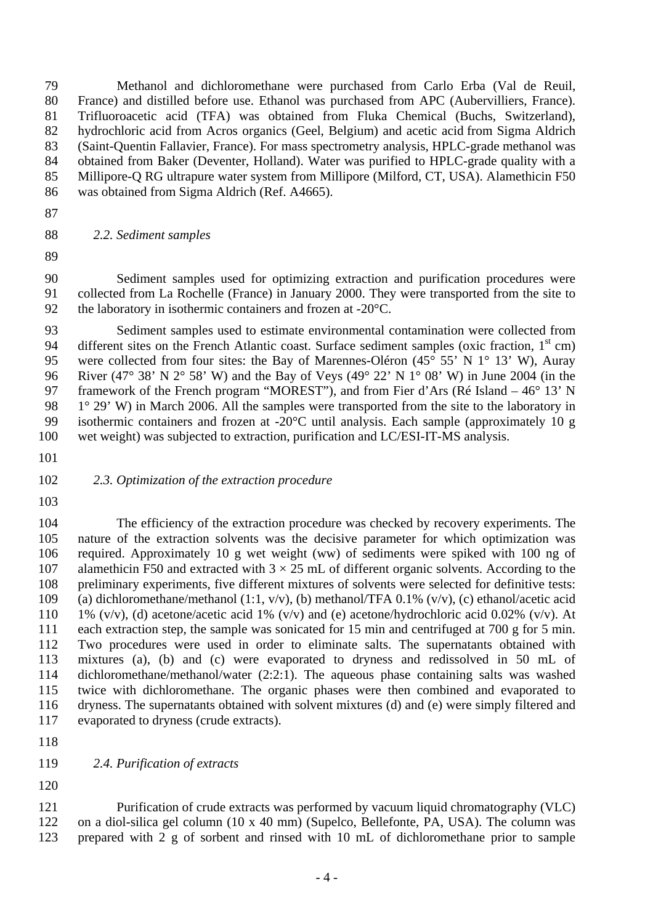79 Methanol and dichloromethane were purchased from Carlo Erba (Val de Reuil, 80 France) and distilled before use. Ethanol was purchased from APC (Aubervilliers, France). 81 Trifluoroacetic acid (TFA) was obtained from Fluka Chemical (Buchs, Switzerland), 82 hydrochloric acid from Acros organics (Geel, Belgium) and acetic acid from Sigma Aldrich 83 (Saint-Quentin Fallavier, France). For mass spectrometry analysis, HPLC-grade methanol was 84 obtained from Baker (Deventer, Holland). Water was purified to HPLC-grade quality with a 85 Millipore-Q RG ultrapure water system from Millipore (Milford, CT, USA). Alamethicin F50 86 was obtained from Sigma Aldrich (Ref. A4665).

- 87
- 88 *2.2. Sediment samples*
- 89

90 Sediment samples used for optimizing extraction and purification procedures were 91 collected from La Rochelle (France) in January 2000. They were transported from the site to 92 the laboratory in isothermic containers and frozen at -20<sup>o</sup>C.

93 Sediment samples used to estimate environmental contamination were collected from 94 different sites on the French Atlantic coast. Surface sediment samples (oxic fraction,  $1<sup>st</sup>$  cm) 95 were collected from four sites: the Bay of Marennes-Oléron (45° 55' N 1° 13' W), Auray 96 River (47° 38' N 2° 58' W) and the Bay of Veys (49° 22' N 1° 08' W) in June 2004 (in the 97 framework of the French program "MOREST"), and from Fier d'Ars (Ré Island –  $46^{\circ}$  13' N 98 1° 29' W) in March 2006. All the samples were transported from the site to the laboratory in 99 isothermic containers and frozen at -20°C until analysis. Each sample (approximately 10 g 100 wet weight) was subjected to extraction, purification and LC/ESI-IT-MS analysis.

101

#### 102 *2.3. Optimization of the extraction procedure*

103

104 The efficiency of the extraction procedure was checked by recovery experiments. The 105 nature of the extraction solvents was the decisive parameter for which optimization was 106 required. Approximately 10 g wet weight (ww) of sediments were spiked with 100 ng of 107 alamethicin F50 and extracted with  $3 \times 25$  mL of different organic solvents. According to the 108 preliminary experiments, five different mixtures of solvents were selected for definitive tests: 109 (a) dichloromethane/methanol (1:1, v/v), (b) methanol/TFA 0.1% (v/v), (c) ethanol/acetic acid 110 1% (v/v), (d) acetone/acetic acid 1% (v/v) and (e) acetone/hydrochloric acid 0.02% (v/v). At 111 each extraction step, the sample was sonicated for 15 min and centrifuged at 700 g for 5 min. 112 Two procedures were used in order to eliminate salts. The supernatants obtained with 113 mixtures (a), (b) and (c) were evaporated to dryness and redissolved in 50 mL of 114 dichloromethane/methanol/water (2:2:1). The aqueous phase containing salts was washed 115 twice with dichloromethane. The organic phases were then combined and evaporated to 116 dryness. The supernatants obtained with solvent mixtures (d) and (e) were simply filtered and 117 evaporated to dryness (crude extracts).

- 118
- 119 *2.4. Purification of extracts*
- 120

121 Purification of crude extracts was performed by vacuum liquid chromatography (VLC) 122 on a diol-silica gel column (10 x 40 mm) (Supelco, Bellefonte, PA, USA). The column was 123 prepared with 2 g of sorbent and rinsed with 10 mL of dichloromethane prior to sample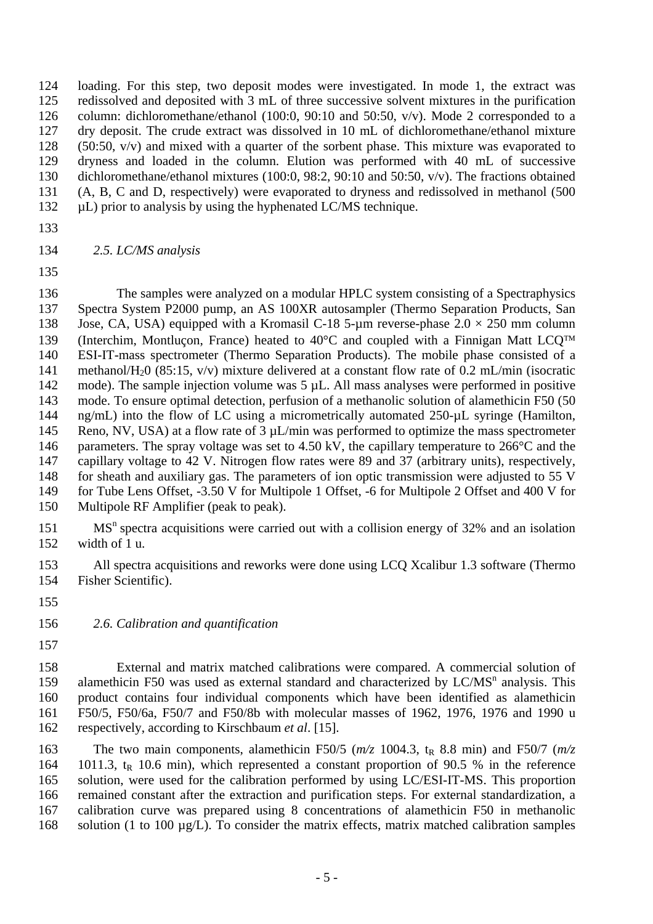124 loading. For this step, two deposit modes were investigated. In mode 1, the extract was 125 redissolved and deposited with 3 mL of three successive solvent mixtures in the purification 126 column: dichloromethane/ethanol (100:0, 90:10 and 50:50, v/v). Mode 2 corresponded to a 127 dry deposit. The crude extract was dissolved in 10 mL of dichloromethane/ethanol mixture 128 (50:50, v/v) and mixed with a quarter of the sorbent phase. This mixture was evaporated to 129 dryness and loaded in the column. Elution was performed with 40 mL of successive 130 dichloromethane/ethanol mixtures (100:0, 98:2, 90:10 and 50:50, v/v). The fractions obtained 131 (A, B, C and D, respectively) were evaporated to dryness and redissolved in methanol (500 132 µL) prior to analysis by using the hyphenated LC/MS technique.

- 133
- 134 *2.5. LC/MS analysis*
- 135

136 The samples were analyzed on a modular HPLC system consisting of a Spectraphysics 137 Spectra System P2000 pump, an AS 100XR autosampler (Thermo Separation Products, San 138 Jose, CA, USA) equipped with a Kromasil C-18 5-µm reverse-phase  $2.0 \times 250$  mm column 139 (Interchim, Montluçon, France) heated to 40°C and coupled with a Finnigan Matt LCQ™ 140 ESI-IT-mass spectrometer (Thermo Separation Products). The mobile phase consisted of a 141 methanol/H<sub>2</sub>O (85:15, v/v) mixture delivered at a constant flow rate of 0.2 mL/min (isocratic 142 mode). The sample injection volume was 5 µL. All mass analyses were performed in positive 143 mode. To ensure optimal detection, perfusion of a methanolic solution of alamethicin F50 (50 144 ng/mL) into the flow of LC using a micrometrically automated 250-µL syringe (Hamilton, 145 Reno, NV, USA) at a flow rate of  $3 \mu L/min$  was performed to optimize the mass spectrometer 146 parameters. The spray voltage was set to 4.50 kV, the capillary temperature to 266 °C and the 147 capillary voltage to 42 V. Nitrogen flow rates were 89 and 37 (arbitrary units), respectively, 148 for sheath and auxiliary gas. The parameters of ion optic transmission were adjusted to 55 V 149 for Tube Lens Offset, -3.50 V for Multipole 1 Offset, -6 for Multipole 2 Offset and 400 V for 150 Multipole RF Amplifier (peak to peak).

 $MS<sup>n</sup>$  spectra acquisitions were carried out with a collision energy of 32% and an isolation 152 width of 1 u.

153 All spectra acquisitions and reworks were done using LCQ Xcalibur 1.3 software (Thermo 154 Fisher Scientific).

- 155
- 156 *2.6. Calibration and quantification*
- 157

158 External and matrix matched calibrations were compared. A commercial solution of 159 alamethicin F50 was used as external standard and characterized by  $LC/MS<sup>n</sup>$  analysis. This 160 product contains four individual components which have been identified as alamethicin 161 F50/5, F50/6a, F50/7 and F50/8b with molecular masses of 1962, 1976, 1976 and 1990 u 162 respectively, according to Kirschbaum *et al*. [15].

163 The two main components, alamethicin F50/5  $(m/z, 1004.3, t_R, 8.8 \text{ min})$  and F50/7  $(m/z,$ 164 1011.3,  $t_R$  10.6 min), which represented a constant proportion of 90.5 % in the reference 165 solution, were used for the calibration performed by using LC/ESI-IT-MS. This proportion 166 remained constant after the extraction and purification steps. For external standardization, a 167 calibration curve was prepared using 8 concentrations of alamethicin F50 in methanolic 168 solution (1 to 100 µg/L). To consider the matrix effects, matrix matched calibration samples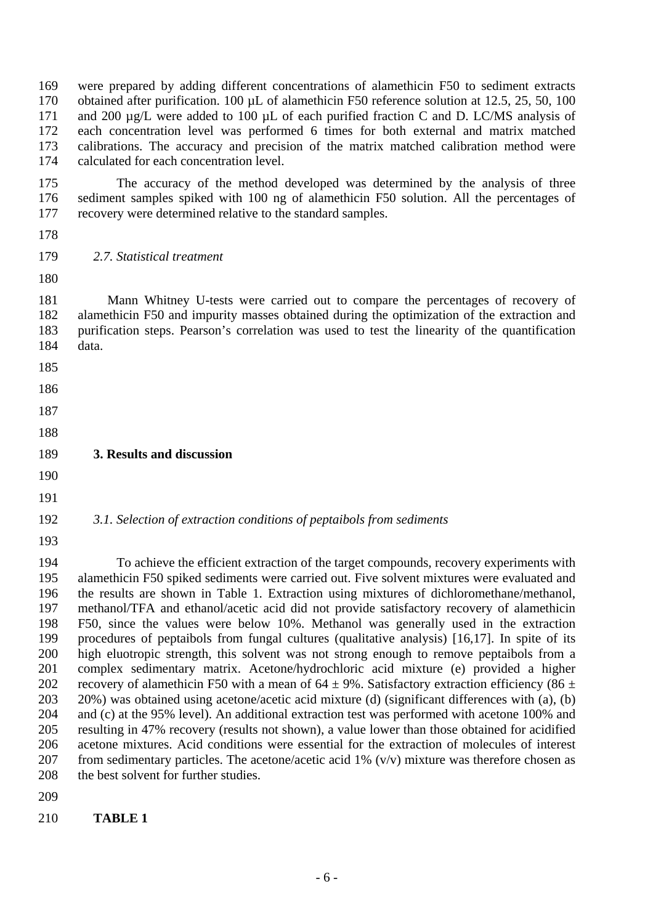169 were prepared by adding different concentrations of alamethicin F50 to sediment extracts 170 obtained after purification. 100  $\mu$ L of alamethicin F50 reference solution at 12.5, 25, 50, 100 171 and 200 µg/L were added to 100 µL of each purified fraction C and D. LC/MS analysis of 172 each concentration level was performed 6 times for both external and matrix matched 173 calibrations. The accuracy and precision of the matrix matched calibration method were 174 calculated for each concentration level.

175 The accuracy of the method developed was determined by the analysis of three 176 sediment samples spiked with 100 ng of alamethicin F50 solution. All the percentages of 177 recovery were determined relative to the standard samples.

178

- 179 *2.7. Statistical treatment*
- 180

181 Mann Whitney U-tests were carried out to compare the percentages of recovery of 182 alamethicin F50 and impurity masses obtained during the optimization of the extraction and 183 purification steps. Pearson's correlation was used to test the linearity of the quantification 184 data.

- 185
- 186
- 187
- 188
- 189 **3. Results and discussion**
- 190
- 191
- 192 *3.1. Selection of extraction conditions of peptaibols from sediments*
- 193

194 To achieve the efficient extraction of the target compounds, recovery experiments with 195 alamethicin F50 spiked sediments were carried out. Five solvent mixtures were evaluated and 196 the results are shown in Table 1. Extraction using mixtures of dichloromethane/methanol, 197 methanol/TFA and ethanol/acetic acid did not provide satisfactory recovery of alamethicin 198 F50, since the values were below 10%. Methanol was generally used in the extraction 199 procedures of peptaibols from fungal cultures (qualitative analysis) [16,17]. In spite of its 200 high eluotropic strength, this solvent was not strong enough to remove peptaibols from a 201 complex sedimentary matrix. Acetone/hydrochloric acid mixture (e) provided a higher 202 recovery of alamethicin F50 with a mean of  $64 \pm 9\%$ . Satisfactory extraction efficiency  $(86 \pm 10^6)$ 203 20%) was obtained using acetone/acetic acid mixture (d) (significant differences with (a), (b) 204 and (c) at the 95% level). An additional extraction test was performed with acetone 100% and 205 resulting in 47% recovery (results not shown), a value lower than those obtained for acidified 206 acetone mixtures. Acid conditions were essential for the extraction of molecules of interest 207 from sedimentary particles. The acetone/acetic acid 1%  $(v/v)$  mixture was therefore chosen as 208 the best solvent for further studies.

209

210 **TABLE 1**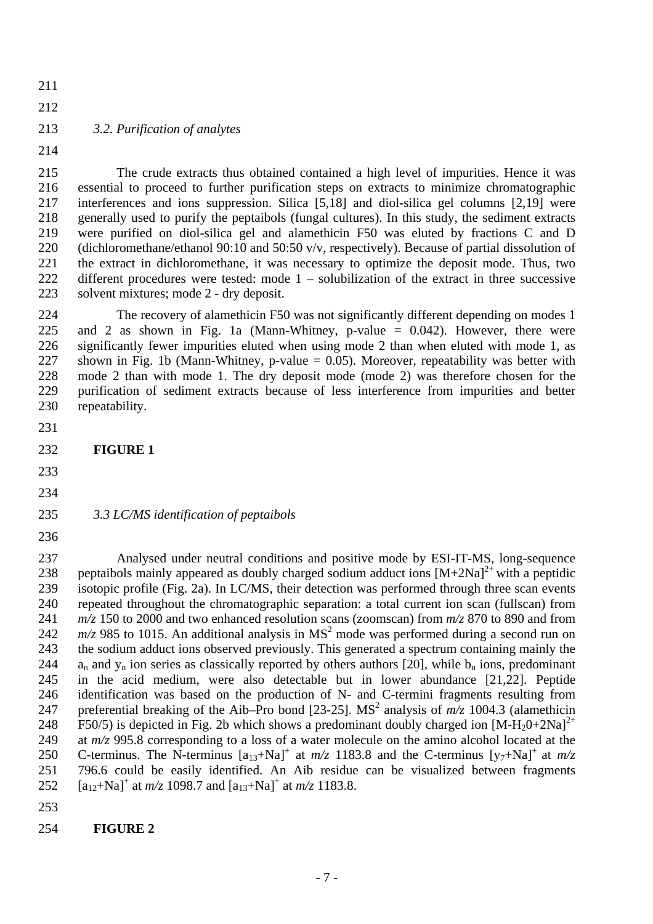- 211
- 
- 212
- 213 *3.2. Purification of analytes*
- 214

215 The crude extracts thus obtained contained a high level of impurities. Hence it was 216 essential to proceed to further purification steps on extracts to minimize chromatographic 217 interferences and ions suppression. Silica [5,18] and diol-silica gel columns [2,19] were 218 generally used to purify the peptaibols (fungal cultures). In this study, the sediment extracts 219 were purified on diol-silica gel and alamethicin F50 was eluted by fractions C and D 220 (dichloromethane/ethanol 90:10 and 50:50 v/v, respectively). Because of partial dissolution of 221 the extract in dichloromethane, it was necessary to optimize the deposit mode. Thus, two 222 different procedures were tested: mode 1 – solubilization of the extract in three successive 223 solvent mixtures; mode 2 - dry deposit.

224 The recovery of alamethicin F50 was not significantly different depending on modes 1 225 and 2 as shown in Fig. 1a (Mann-Whitney, p-value = 0.042). However, there were 226 significantly fewer impurities eluted when using mode 2 than when eluted with mode 1, as 227 shown in Fig. 1b (Mann-Whitney, p-value  $= 0.05$ ). Moreover, repeatability was better with 228 mode 2 than with mode 1. The dry deposit mode (mode 2) was therefore chosen for the 229 purification of sediment extracts because of less interference from impurities and better 230 repeatability.

- 231
- 232 **FIGURE 1**
- 233
- 234
- 235 *3.3 LC/MS identification of peptaibols*
- 236

237 Analysed under neutral conditions and positive mode by ESI-IT-MS, long-sequence 238 peptaibols mainly appeared as doubly charged sodium adduct ions  $[M+2Na]^{2+}$  with a peptidic 239 isotopic profile (Fig. 2a). In LC/MS, their detection was performed through three scan events 240 repeated throughout the chromatographic separation: a total current ion scan (fullscan) from 241 *m/z* 150 to 2000 and two enhanced resolution scans (zoomscan) from *m/z* 870 to 890 and from 242  $m/z$  985 to 1015. An additional analysis in  $MS<sup>2</sup>$  mode was performed during a second run on 243 the sodium adduct ions observed previously. This generated a spectrum containing mainly the 244 a<sub>n</sub> and y<sub>n</sub> ion series as classically reported by others authors [20], while  $b_n$  ions, predominant 245 in the acid medium, were also detectable but in lower abundance [21,22]. Peptide 246 identification was based on the production of N- and C-termini fragments resulting from 247 preferential breaking of the Aib–Pro bond [23-25]. MS<sup>2</sup> analysis of  $m/z$  1004.3 (alamethicin 248 F50/5) is depicted in Fig. 2b which shows a predominant doubly charged ion  $[M-H<sub>2</sub>0+2Na]<sup>2+</sup>$ 249 at *m/z* 995.8 corresponding to a loss of a water molecule on the amino alcohol located at the 250 C-terminus. The N-terminus  $[a_{13}+Na]^+$  at  $m/z$  1183.8 and the C-terminus  $[y_7+Na]^+$  at  $m/z$ 251 796.6 could be easily identified. An Aib residue can be visualized between fragments 252  $[a_{12}+Na]^+$  at  $m/z$  1098.7 and  $[a_{13}+Na]^+$  at  $m/z$  1183.8.

253

#### 254 **FIGURE 2**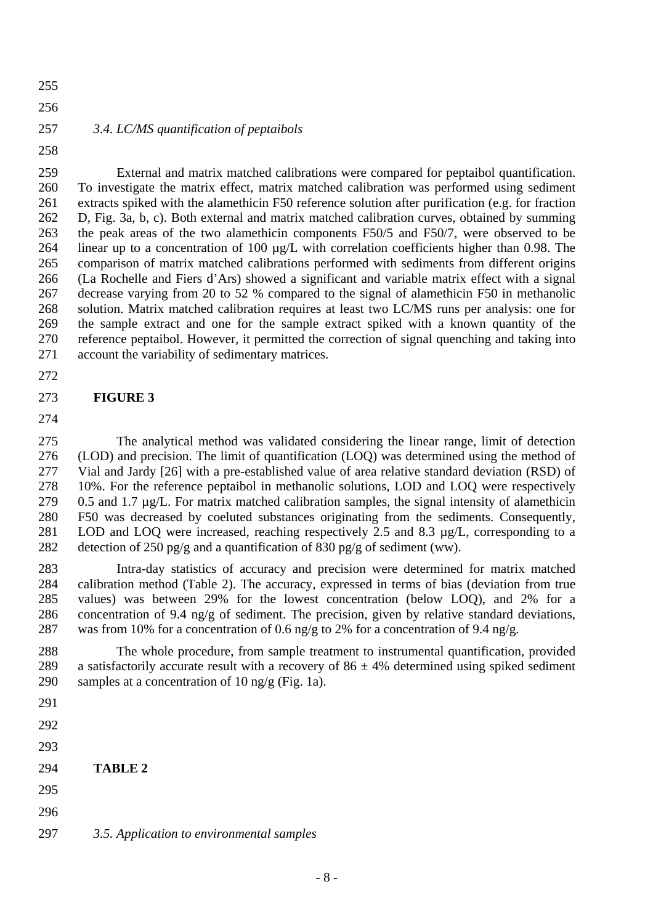255

# 256 257 *3.4. LC/MS quantification of peptaibols*

258

259 External and matrix matched calibrations were compared for peptaibol quantification. 260 To investigate the matrix effect, matrix matched calibration was performed using sediment 261 extracts spiked with the alamethicin F50 reference solution after purification (e.g. for fraction 262 D, Fig. 3a, b, c). Both external and matrix matched calibration curves, obtained by summing 263 the peak areas of the two alamethicin components F50/5 and F50/7, were observed to be 264 linear up to a concentration of 100 µg/L with correlation coefficients higher than 0.98. The 265 comparison of matrix matched calibrations performed with sediments from different origins 266 (La Rochelle and Fiers d'Ars) showed a significant and variable matrix effect with a signal 267 decrease varying from 20 to 52 % compared to the signal of alamethicin F50 in methanolic 268 solution. Matrix matched calibration requires at least two LC/MS runs per analysis: one for 269 the sample extract and one for the sample extract spiked with a known quantity of the 270 reference peptaibol. However, it permitted the correction of signal quenching and taking into 271 account the variability of sedimentary matrices.

272

### 273 **FIGURE 3**

274

275 The analytical method was validated considering the linear range, limit of detection 276 (LOD) and precision. The limit of quantification (LOQ) was determined using the method of 277 Vial and Jardy [26] with a pre-established value of area relative standard deviation (RSD) of 278 10%. For the reference peptaibol in methanolic solutions, LOD and LOQ were respectively 279 0.5 and 1.7  $\mu$ g/L. For matrix matched calibration samples, the signal intensity of alamethicin 280 F50 was decreased by coeluted substances originating from the sediments. Consequently, 281 LOD and LOQ were increased, reaching respectively 2.5 and 8.3 µg/L, corresponding to a 282 detection of 250 pg/g and a quantification of 830 pg/g of sediment (ww).

283 Intra-day statistics of accuracy and precision were determined for matrix matched 284 calibration method (Table 2). The accuracy, expressed in terms of bias (deviation from true 285 values) was between 29% for the lowest concentration (below LOQ), and 2% for a 286 concentration of 9.4 ng/g of sediment. The precision, given by relative standard deviations, 287 was from 10% for a concentration of 0.6 ng/g to 2% for a concentration of 9.4 ng/g.

288 The whole procedure, from sample treatment to instrumental quantification, provided 289 a satisfactorily accurate result with a recovery of  $86 \pm 4\%$  determined using spiked sediment 290 samples at a concentration of 10 ng/g (Fig. 1a).

- 292
- 293
- 294 **TABLE 2**
- 295
- 296
- 297 *3.5. Application to environmental samples*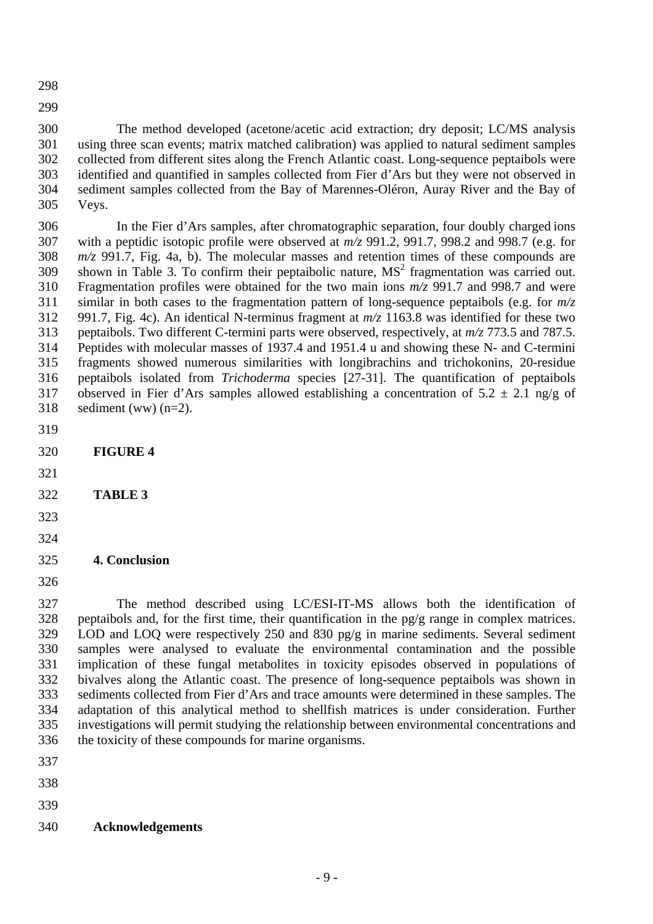298

299

300 The method developed (acetone/acetic acid extraction; dry deposit; LC/MS analysis 301 using three scan events; matrix matched calibration) was applied to natural sediment samples 302 collected from different sites along the French Atlantic coast. Long-sequence peptaibols were 303 identified and quantified in samples collected from Fier d'Ars but they were not observed in 304 sediment samples collected from the Bay of Marennes-Oléron, Auray River and the Bay of 305 Veys.

306 In the Fier d'Ars samples, after chromatographic separation, four doubly charged ions 307 with a peptidic isotopic profile were observed at *m/z* 991.2, 991.7, 998.2 and 998.7 (e.g. for 308 *m/z* 991.7, Fig. 4a, b). The molecular masses and retention times of these compounds are  $309$  shown in Table 3. To confirm their peptaibolic nature,  $MS<sup>2</sup>$  fragmentation was carried out. 310 Fragmentation profiles were obtained for the two main ions *m/z* 991.7 and 998.7 and were 311 similar in both cases to the fragmentation pattern of long-sequence peptaibols (e.g. for *m/z* 312 991.7, Fig. 4c). An identical N-terminus fragment at *m/z* 1163.8 was identified for these two 313 peptaibols. Two different C-termini parts were observed, respectively, at *m/z* 773.5 and 787.5. 314 Peptides with molecular masses of 1937.4 and 1951.4 u and showing these N- and C-termini 315 fragments showed numerous similarities with longibrachins and trichokonins, 20-residue 316 peptaibols isolated from *Trichoderma* species [27-31]. The quantification of peptaibols 317 observed in Fier d'Ars samples allowed establishing a concentration of  $5.2 \pm 2.1$  ng/g of  $318$  sediment (ww) (n=2).

319

320 **FIGURE 4** 

321

- 322 **TABLE 3**
- 323
- 324

#### 325 **4. Conclusion**

326

327 The method described using LC/ESI-IT-MS allows both the identification of  $328$  peptaibols and, for the first time, their quantification in the pg/g range in complex matrices. 329 LOD and LOQ were respectively 250 and 830 pg/g in marine sediments. Several sediment 330 samples were analysed to evaluate the environmental contamination and the possible 331 implication of these fungal metabolites in toxicity episodes observed in populations of 332 bivalves along the Atlantic coast. The presence of long-sequence peptaibols was shown in 333 sediments collected from Fier d'Ars and trace amounts were determined in these samples. The 334 adaptation of this analytical method to shellfish matrices is under consideration. Further 335 investigations will permit studying the relationship between environmental concentrations and 336 the toxicity of these compounds for marine organisms.

337

338

339

#### 340 **Acknowledgements**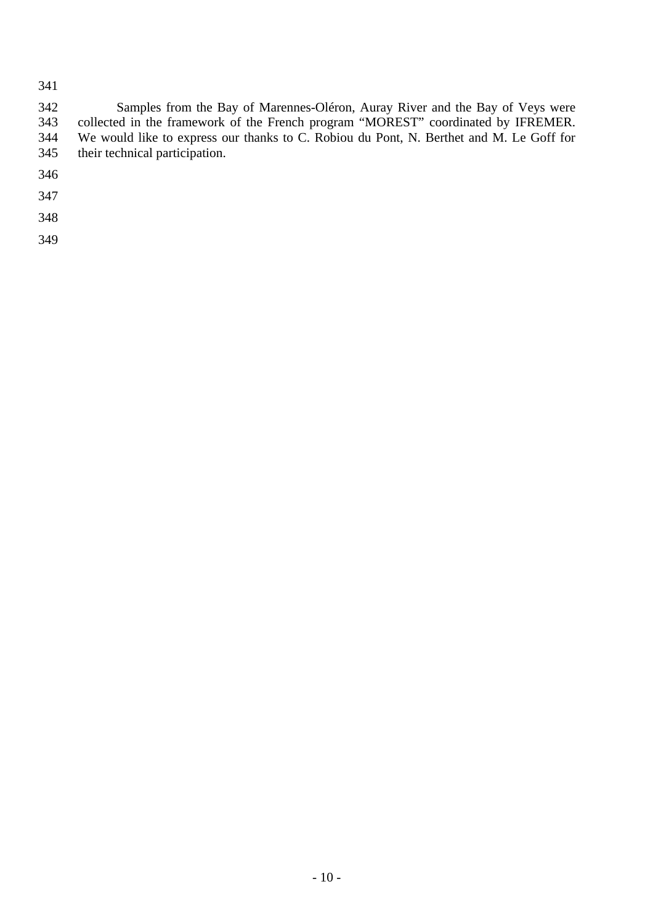| 341                      |                                                                                                                                                                                                                                                                                                 |
|--------------------------|-------------------------------------------------------------------------------------------------------------------------------------------------------------------------------------------------------------------------------------------------------------------------------------------------|
| 342<br>343<br>344<br>345 | Samples from the Bay of Marennes-Oléron, Auray River and the Bay of Veys were<br>collected in the framework of the French program "MOREST" coordinated by IFREMER.<br>We would like to express our thanks to C. Robiou du Pont, N. Berthet and M. Le Goff for<br>their technical participation. |
| 346                      |                                                                                                                                                                                                                                                                                                 |
| 347                      |                                                                                                                                                                                                                                                                                                 |
| 348                      |                                                                                                                                                                                                                                                                                                 |
| 349                      |                                                                                                                                                                                                                                                                                                 |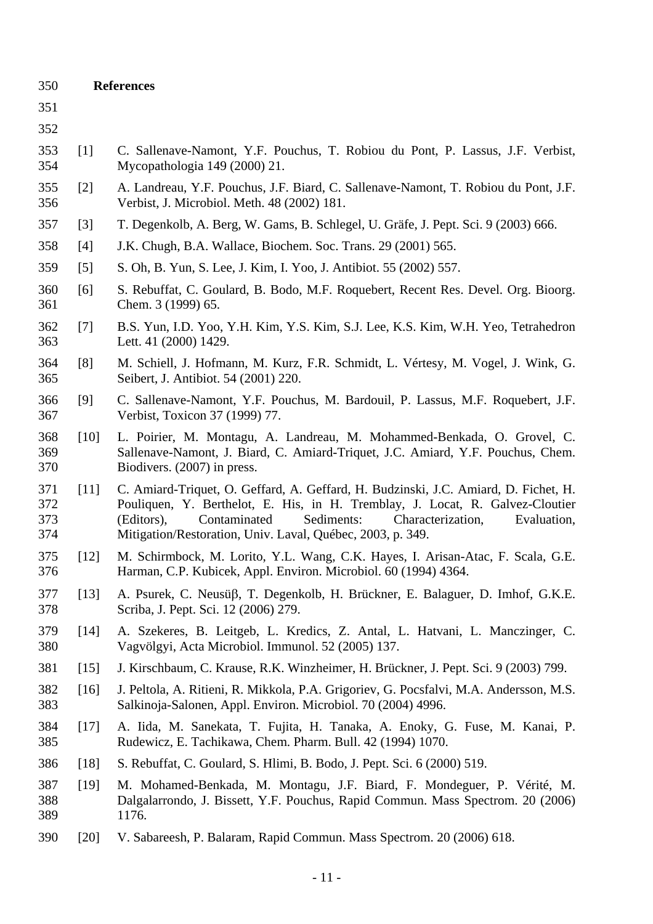| 350                      |        | <b>References</b>                                                                                                                                                                                                                                                                                                  |
|--------------------------|--------|--------------------------------------------------------------------------------------------------------------------------------------------------------------------------------------------------------------------------------------------------------------------------------------------------------------------|
| 351                      |        |                                                                                                                                                                                                                                                                                                                    |
| 352                      |        |                                                                                                                                                                                                                                                                                                                    |
| 353<br>354               | $[1]$  | C. Sallenave-Namont, Y.F. Pouchus, T. Robiou du Pont, P. Lassus, J.F. Verbist,<br>Mycopathologia 149 (2000) 21.                                                                                                                                                                                                    |
| 355<br>356               | $[2]$  | A. Landreau, Y.F. Pouchus, J.F. Biard, C. Sallenave-Namont, T. Robiou du Pont, J.F.<br>Verbist, J. Microbiol. Meth. 48 (2002) 181.                                                                                                                                                                                 |
| 357                      | $[3]$  | T. Degenkolb, A. Berg, W. Gams, B. Schlegel, U. Gräfe, J. Pept. Sci. 9 (2003) 666.                                                                                                                                                                                                                                 |
| 358                      | $[4]$  | J.K. Chugh, B.A. Wallace, Biochem. Soc. Trans. 29 (2001) 565.                                                                                                                                                                                                                                                      |
| 359                      | [5]    | S. Oh, B. Yun, S. Lee, J. Kim, I. Yoo, J. Antibiot. 55 (2002) 557.                                                                                                                                                                                                                                                 |
| 360<br>361               | [6]    | S. Rebuffat, C. Goulard, B. Bodo, M.F. Roquebert, Recent Res. Devel. Org. Bioorg.<br>Chem. 3 (1999) 65.                                                                                                                                                                                                            |
| 362<br>363               | $[7]$  | B.S. Yun, I.D. Yoo, Y.H. Kim, Y.S. Kim, S.J. Lee, K.S. Kim, W.H. Yeo, Tetrahedron<br>Lett. 41 (2000) 1429.                                                                                                                                                                                                         |
| 364<br>365               | [8]    | M. Schiell, J. Hofmann, M. Kurz, F.R. Schmidt, L. Vértesy, M. Vogel, J. Wink, G.<br>Seibert, J. Antibiot. 54 (2001) 220.                                                                                                                                                                                           |
| 366<br>367               | [9]    | C. Sallenave-Namont, Y.F. Pouchus, M. Bardouil, P. Lassus, M.F. Roquebert, J.F.<br>Verbist, Toxicon 37 (1999) 77.                                                                                                                                                                                                  |
| 368<br>369<br>370        | $[10]$ | L. Poirier, M. Montagu, A. Landreau, M. Mohammed-Benkada, O. Grovel, C.<br>Sallenave-Namont, J. Biard, C. Amiard-Triquet, J.C. Amiard, Y.F. Pouchus, Chem.<br>Biodivers. (2007) in press.                                                                                                                          |
| 371<br>372<br>373<br>374 | $[11]$ | C. Amiard-Triquet, O. Geffard, A. Geffard, H. Budzinski, J.C. Amiard, D. Fichet, H.<br>Pouliquen, Y. Berthelot, E. His, in H. Tremblay, J. Locat, R. Galvez-Cloutier<br>(Editors),<br>Contaminated<br>Sediments:<br>Characterization,<br>Evaluation,<br>Mitigation/Restoration, Univ. Laval, Québec, 2003, p. 349. |
| 375<br>376               | $[12]$ | M. Schirmbock, M. Lorito, Y.L. Wang, C.K. Hayes, I. Arisan-Atac, F. Scala, G.E.<br>Harman, C.P. Kubicek, Appl. Environ. Microbiol. 60 (1994) 4364.                                                                                                                                                                 |
| 377<br>378               | $[13]$ | A. Psurek, C. Neusüβ, T. Degenkolb, H. Brückner, E. Balaguer, D. Imhof, G.K.E.<br>Scriba, J. Pept. Sci. 12 (2006) 279.                                                                                                                                                                                             |
| 379<br>380               | $[14]$ | A. Szekeres, B. Leitgeb, L. Kredics, Z. Antal, L. Hatvani, L. Manczinger, C.<br>Vagvölgyi, Acta Microbiol. Immunol. 52 (2005) 137.                                                                                                                                                                                 |
| 381                      | $[15]$ | J. Kirschbaum, C. Krause, R.K. Winzheimer, H. Brückner, J. Pept. Sci. 9 (2003) 799.                                                                                                                                                                                                                                |
| 382<br>383               | $[16]$ | J. Peltola, A. Ritieni, R. Mikkola, P.A. Grigoriev, G. Pocsfalvi, M.A. Andersson, M.S.<br>Salkinoja-Salonen, Appl. Environ. Microbiol. 70 (2004) 4996.                                                                                                                                                             |
| 384<br>385               | $[17]$ | A. Iida, M. Sanekata, T. Fujita, H. Tanaka, A. Enoky, G. Fuse, M. Kanai, P.<br>Rudewicz, E. Tachikawa, Chem. Pharm. Bull. 42 (1994) 1070.                                                                                                                                                                          |
| 386                      | $[18]$ | S. Rebuffat, C. Goulard, S. Hlimi, B. Bodo, J. Pept. Sci. 6 (2000) 519.                                                                                                                                                                                                                                            |
| 387<br>388<br>389        | $[19]$ | M. Mohamed-Benkada, M. Montagu, J.F. Biard, F. Mondeguer, P. Vérité, M.<br>Dalgalarrondo, J. Bissett, Y.F. Pouchus, Rapid Commun. Mass Spectrom. 20 (2006)<br>1176.                                                                                                                                                |
| 390                      | $[20]$ | V. Sabareesh, P. Balaram, Rapid Commun. Mass Spectrom. 20 (2006) 618.                                                                                                                                                                                                                                              |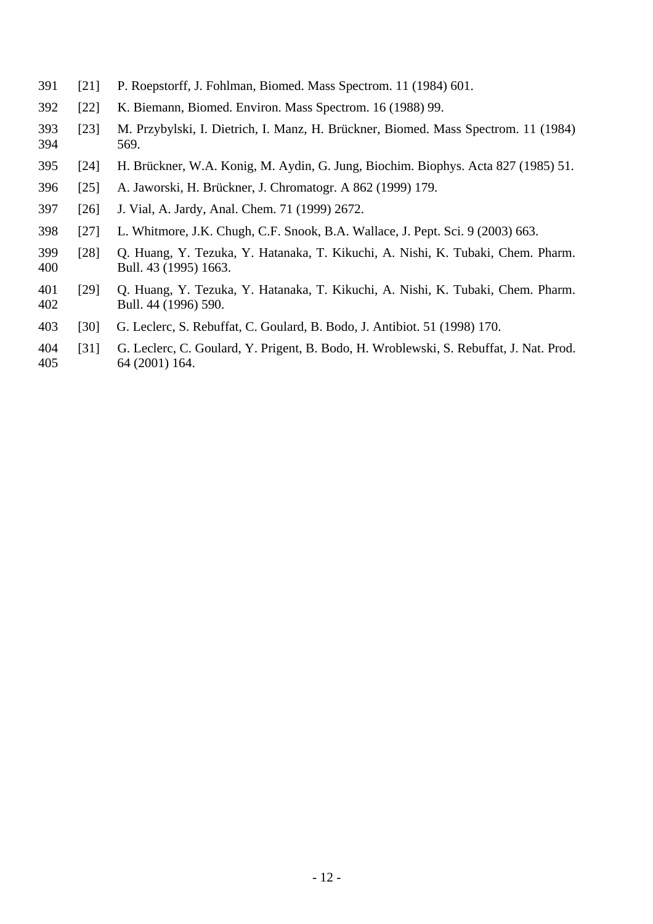- 391 [21] P. Roepstorff, J. Fohlman, Biomed. Mass Spectrom. 11 (1984) 601.
- 392 [22] K. Biemann, Biomed. Environ. Mass Spectrom. 16 (1988) 99.
- 393 [23] M. Przybylski, I. Dietrich, I. Manz, H. Brückner, Biomed. Mass Spectrom. 11 (1984) 394 569.
- 395 [24] H. Brückner, W.A. Konig, M. Aydin, G. Jung, Biochim. Biophys. Acta 827 (1985) 51.
- 396 [25] A. Jaworski, H. Brückner, J. Chromatogr. A 862 (1999) 179.
- 397 [26] J. Vial, A. Jardy, Anal. Chem. 71 (1999) 2672.
- 398 [27] L. Whitmore, J.K. Chugh, C.F. Snook, B.A. Wallace, J. Pept. Sci. 9 (2003) 663.
- 399 [28] Q. Huang, Y. Tezuka, Y. Hatanaka, T. Kikuchi, A. Nishi, K. Tubaki, Chem. Pharm. 400 Bull. 43 (1995) 1663.
- 401 [29] Q. Huang, Y. Tezuka, Y. Hatanaka, T. Kikuchi, A. Nishi, K. Tubaki, Chem. Pharm. 402 Bull. 44 (1996) 590.
- 403 [30] G. Leclerc, S. Rebuffat, C. Goulard, B. Bodo, J. Antibiot. 51 (1998) 170.
- 404 [31] G. Leclerc, C. Goulard, Y. Prigent, B. Bodo, H. Wroblewski, S. Rebuffat, J. Nat. Prod. 405 64 (2001) 164.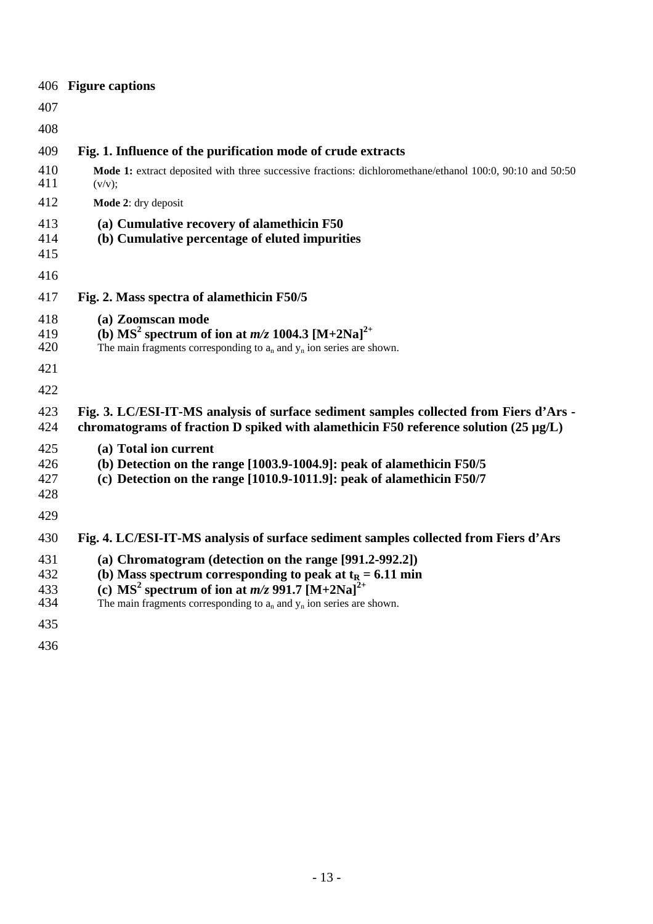|                          | 406 Figure captions                                                                                                                                                                                                                                             |
|--------------------------|-----------------------------------------------------------------------------------------------------------------------------------------------------------------------------------------------------------------------------------------------------------------|
| 407                      |                                                                                                                                                                                                                                                                 |
| 408                      |                                                                                                                                                                                                                                                                 |
| 409                      | Fig. 1. Influence of the purification mode of crude extracts                                                                                                                                                                                                    |
| 410<br>411               | Mode 1: extract deposited with three successive fractions: dichloromethane/ethanol 100:0, 90:10 and 50:50<br>(v/v);                                                                                                                                             |
| 412                      | Mode 2: dry deposit                                                                                                                                                                                                                                             |
| 413<br>414<br>415        | (a) Cumulative recovery of alamethicin F50<br>(b) Cumulative percentage of eluted impurities                                                                                                                                                                    |
| 416                      |                                                                                                                                                                                                                                                                 |
| 417                      | Fig. 2. Mass spectra of alamethicin F50/5                                                                                                                                                                                                                       |
| 418<br>419<br>420        | (a) Zoomscan mode<br>(b) $MS^2$ spectrum of ion at $m/z$ 1004.3 $[M+2Na]^{2+}$<br>The main fragments corresponding to $a_n$ and $y_n$ ion series are shown.                                                                                                     |
| 421                      |                                                                                                                                                                                                                                                                 |
| 422                      |                                                                                                                                                                                                                                                                 |
| 423<br>424               | Fig. 3. LC/ESI-IT-MS analysis of surface sediment samples collected from Fiers d'Ars -<br>chromatograms of fraction D spiked with alamethicin F50 reference solution $(25 \mu g/L)$                                                                             |
| 425<br>426<br>427<br>428 | (a) Total ion current<br>(b) Detection on the range [1003.9-1004.9]: peak of alamethicin F50/5<br>(c) Detection on the range $[1010.9-1011.9]$ ; peak of alamethicin $F50/7$                                                                                    |
| 429                      |                                                                                                                                                                                                                                                                 |
| 430                      | Fig. 4. LC/ESI-IT-MS analysis of surface sediment samples collected from Fiers d'Ars                                                                                                                                                                            |
| 431<br>432<br>433<br>434 | (a) Chromatogram (detection on the range [991.2-992.2])<br>(b) Mass spectrum corresponding to peak at $t_R = 6.11$ min<br>(c) $MS^2$ spectrum of ion at $m/z$ 991.7 $[M+2Na]^{2+}$<br>The main fragments corresponding to $a_n$ and $y_n$ ion series are shown. |
| 435                      |                                                                                                                                                                                                                                                                 |
| 12<                      |                                                                                                                                                                                                                                                                 |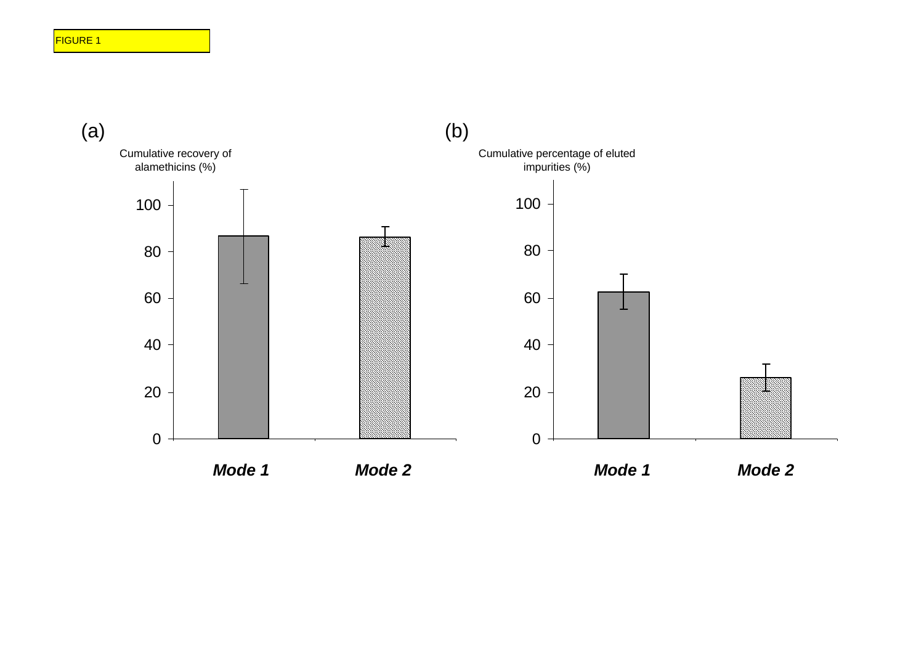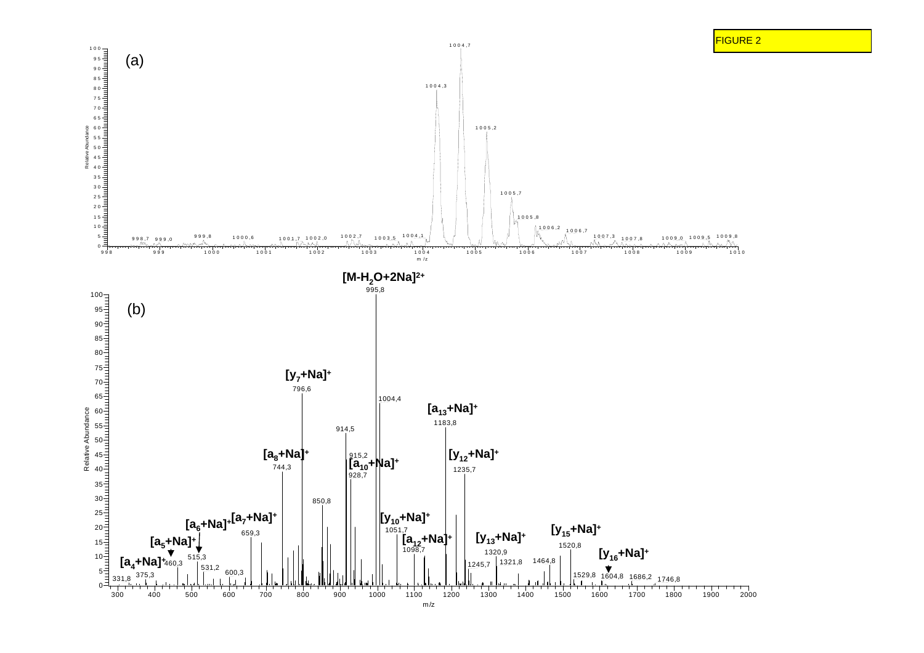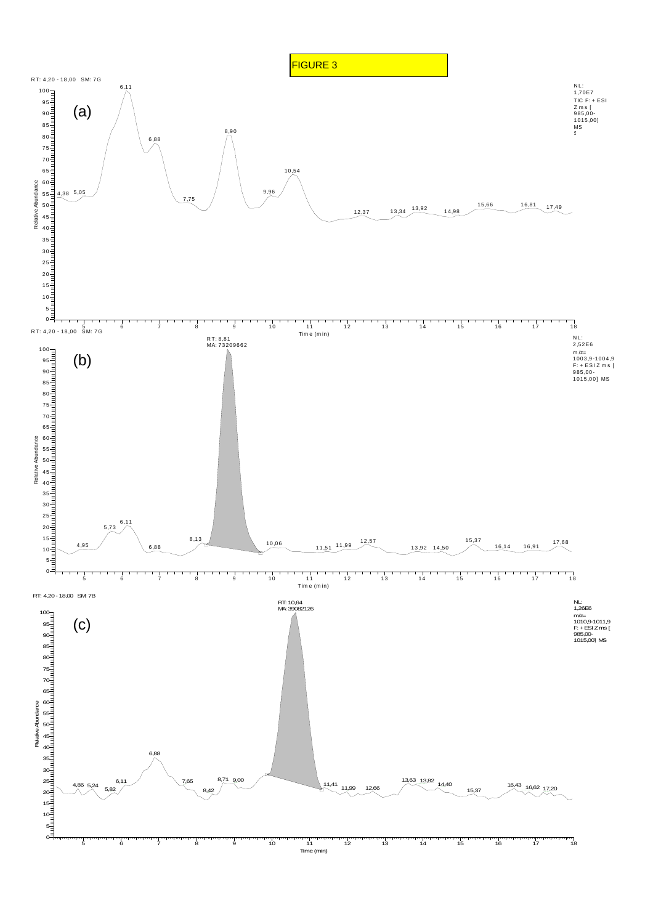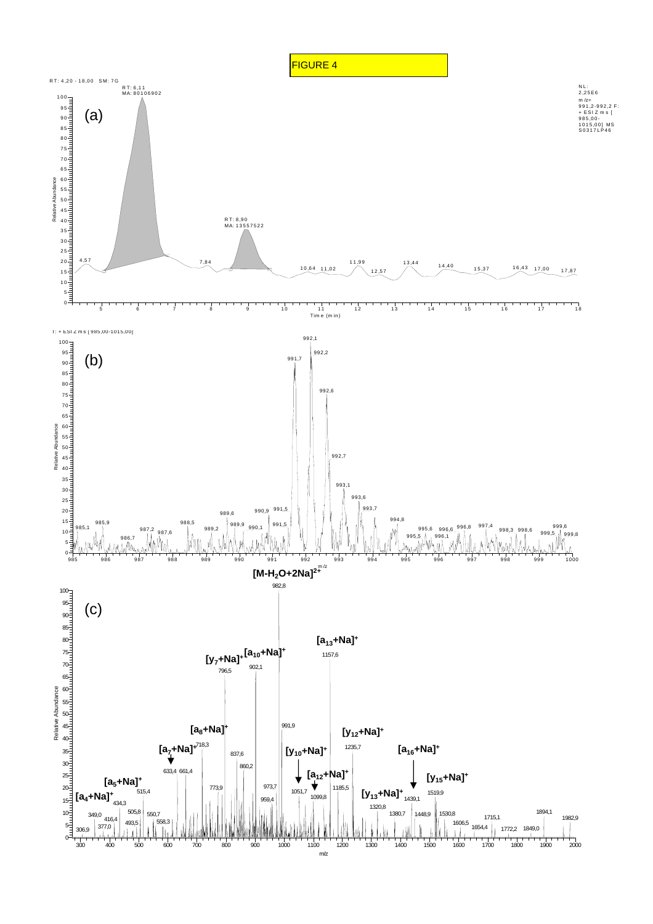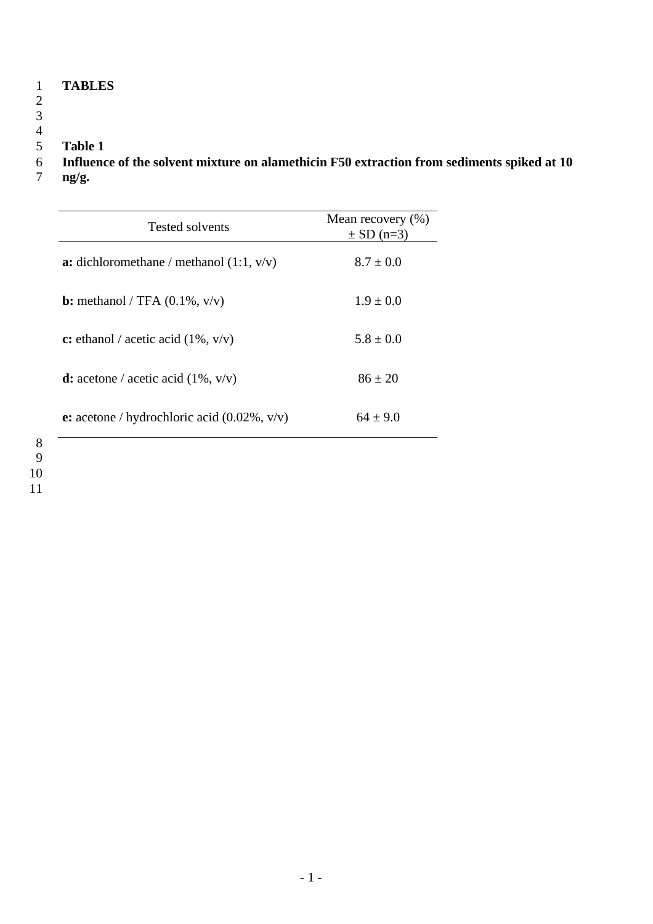## 1 **TABLES**

2 3 4

5 **Table 1 6 Influence of the solvent mixture on alamethicin F50 extraction from sediments spiked at 10**  $\frac{mg}{g}$ **. ng/g.** 7

| <b>Tested solvents</b>                                   | Mean recovery (%)<br>$\pm$ SD (n=3) |
|----------------------------------------------------------|-------------------------------------|
| <b>a:</b> dichloromethane / methanol $(1:1, v/v)$        | $8.7 \pm 0.0$                       |
| <b>b:</b> methanol / TFA $(0.1\%$ , $v/v)$               | $1.9 \pm 0.0$                       |
| c: ethanol / acetic acid $(1\%, v/v)$                    | $5.8 \pm 0.0$                       |
| <b>d:</b> acetone / acetic acid $(1\%, v/v)$             | $86 \pm 20$                         |
| <b>e:</b> acetone / hydrochloric acid $(0.02\%$ , $v/v)$ | $64 \pm 9.0$                        |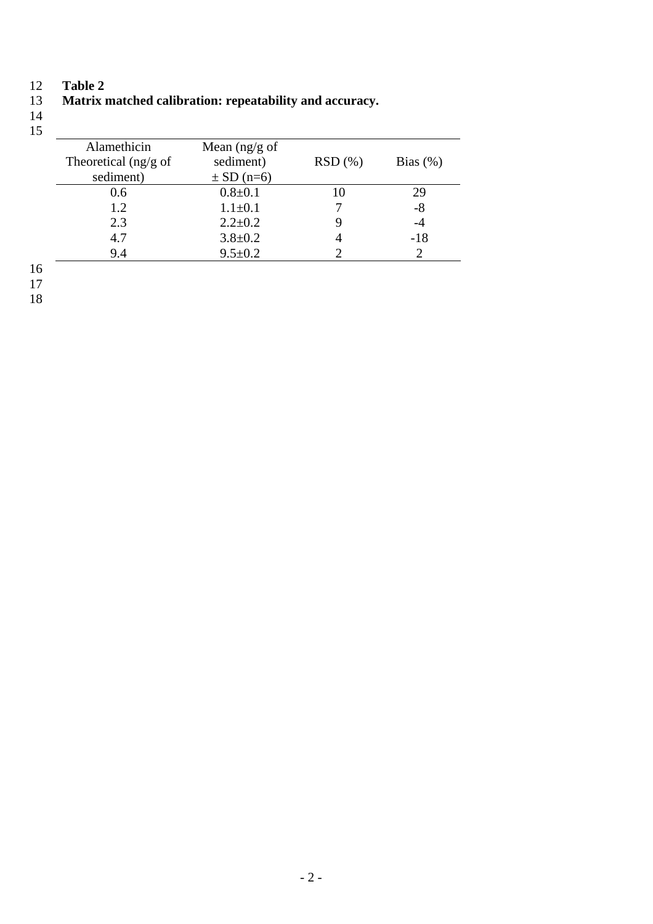## 12 **Table 2**

## 13 **Matrix matched calibration: repeatability and accuracy.**

14 15

| Alamethicin             | Mean $(ng/g \text{ of }$ |        |             |
|-------------------------|--------------------------|--------|-------------|
| Theoretical ( $ng/g$ of | sediment)                | RSD(%) | Bias $(\%)$ |
| sediment)               | $\pm$ SD (n=6)           |        |             |
| 0.6                     | $0.8 + 0.1$              | 10     | 29          |
| 1.2                     | $1.1 \pm 0.1$            |        | -8          |
| 2.3                     | $2.2 \pm 0.2$            |        | -4          |
| 4.7                     | $3.8 \pm 0.2$            |        | $-18$       |
| 9.4                     | $9.5 \pm 0.2$            |        |             |
|                         |                          |        |             |

16

17